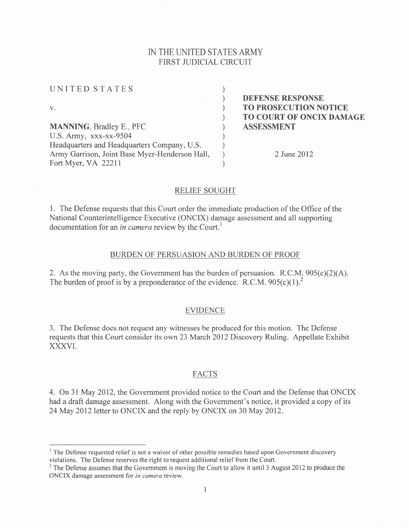# IN THE UNITED STATES ARMY FIRST JUDICIAL CIRCUIT

| UNITED STATES                                  |                                                  |
|------------------------------------------------|--------------------------------------------------|
| V.                                             | <b>DEFENSE RESPONSE</b><br>TO PROSECUTION NOTICE |
|                                                | <b>TO COURT OF ONCIX DAMAGE</b>                  |
| <b>MANNING, Bradley E., PFC</b>                | <b>ASSESSMENT</b>                                |
| U.S. Army, xxx-xx-9504                         |                                                  |
| Headquarters and Headquarters Company, U.S.    |                                                  |
| Army Garrison, Joint Base Myer-Henderson Hall, | 2 June 2012                                      |
| Fort Myer, VA 22211                            |                                                  |

## RELIEF SOUGHT

<sup>I</sup>. The Defense requests that this Court order the immediate production of the Office of the National Counterintelligence Executive (ONCIX) damage assessment and all supporting documentation for an *in camera* review by the Court.<sup>1</sup>

#### BURDEN OF PERSUASION AND BURDEN OF PROOF

2. As the moving party, the Government has the burden of persuasion. R.C.M.  $905(c)(2)(A)$ . The burden of proof is by a preponderance of the evidence. R.C.M.  $905(c)(1)^2$ 

## EVIDENCE

3. The Defense does not request any witnesses be produced for this motion. The Defense requests that this Court consider its own 23 March 2012 Discovery Ruling. Appellate Exhibit XXXVI.

#### FACTS

4. On 3l May 2012, the Government provided notice to the Court and the Defense that ONCIX had a draft damage assessment. Along with the Government's notice, it provided a copy of its 24 May 2012 letter to ONCIX and the reply by ONCIX on 30 May 2012.

<sup>&</sup>lt;sup>1</sup> The Defense requested relief is not a waiver of other possible remedies based upon Government discovery violations. The Defense reserves the right to request additional relief from the Court.

 $2$  The Defense assumes that the Government is moving the Court to allow it until 3 August 2012 to produce the ONCIX damage assessment for in camera review.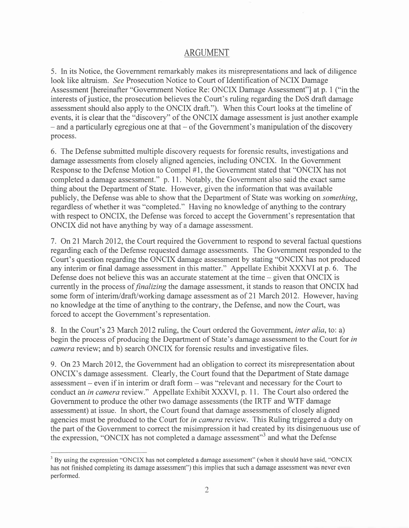# ARGUMENT

5. In its Notice, the Government remarkably makes its misrepresentations and lack of diligence look like altruism. See Prosecution Notice to Court of Identification of NCIX Damage Assessment [hereinafter "Government Notice Re: ONCIX Damage Assessment"] at p. I ("in the interests of justice, the prosecution believes the Court's ruling regarding the DoS draft damage assessment should also apply to the ONCIX draft."). When this Court looks at the timeline of events, it is clear that the "discovery" of the ONCIX damage assessment is just another example  $-$  and a particularly egregious one at that  $-$  of the Government's manipulation of the discovery process.

6. The Defense submitted multiple discovery requests for forensic results, investigations and damage assessments from closely aligned agencies, including ONCIX. In the Government Response to the Defense Motion to Compel #1, the Government stated that "ONCIX has not completed a damage assessment." p. 11. Notably, the Government also said the exact same thing about the Department of State. However, given the information that was available publicly, the Defense was able to show that the Department of State was working on something, regardless of whether it was "completed." Having no knowledge of anything to the contrary with respect to ONCIX, the Defense was forced to accept the Government's representation that ONCIX did not have anything by way of a damage assessment.

<sup>7</sup>. On 2l March 2012, the Court required the Government to respond to several factual questions regarding each of the Defense requested damage assessments. The Government responded to the Court's question regarding the ONCIX damage assessment by stating "ONCIX has not produced any interim or final damage assessment in this matter." Appellate Exhibit XXXVI at p. 6. The Defense does not believe this was an accurate statement at the time  $-$  given that ONCIX is currently in the process of finalizing the damage assessment, it stands to reason that ONCIX had some form of interim/draff/working damage assessment as of 2l March 2012. However, having no knowledge at the time of anything to the contrary, the Defense, and now the Court, was forced to accept the Government's representation.

8. In the Court's 23 March 2012 ruling, the Court ordered the Government, *inter alia*, to: a) begin the process of producing the Department of State's damage assessment to the Court for in camera review; and b) search ONCIX for forensic results and investigative files.

9. On23 March 2012, the Government had an obligation to correct its misrepresentation about ONCIX's damage assessment. Clearly, the Court found that the Department of State damage assessment - even if in interim or draft form - was "relevant and necessary for the Court to conduct an *in camera* review." Appellate Exhibit XXXVI, p. 11. The Court also ordered the Government to produce the other two damage assessments (the IRTF and WTF damage assessment) at issue. In short, the Court found that damage assessments of closely aligned agencies must be produced to the Court for in camera review. This Ruling triggered a duty on the part of the Government to correct the misimpression it had created by its disingenuous use of the expression, "ONCIX has not completed a damage assessment"<sup>3</sup> and what the Defense

<sup>&</sup>lt;sup>3</sup> By using the expression "ONCIX has not completed a damage assessment" (when it should have said, "ONCIX has not finished completing its damage assessment") this implies that such a damage assessment was never even performed.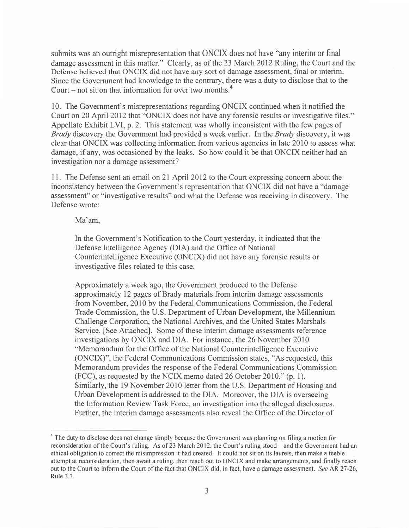submits was an outright misrepresentation that ONCIX does not have "any interim or final damage assessment in this matter." Clearly, as of the23 March 2012 Ruling, the Court and the Defense believed that ONCIX did not have any sort of damage assessment, final or interim. Since the Government had knowledge to the contrary, there was a duty to disclose that to the Court – not sit on that information for over two months.<sup>4</sup>

10. The Government's misrepresentations regarding ONCIX continued when it notified the Court on 20 April 2012 that "ONCIX does not have any forensic results or investigative files." Appellate Exhibit LVI, p.2. This statement was wholly inconsistent with the few pages of Brady discovery the Government had provided a week earlier. In the Brady discovery, it was clear that ONCIX was collecting information from various agencies in late 2010 to assess what damage, if any, was occasioned by the leaks. So how could it be that ONCIX neither had an investigation nor a damage assessment?

<sup>I</sup>1 . The Defense sent an email on 2l April 2012 to the Court expressing concern about the inconsistency between the Government's representation that ONCIX did not have a "damage assessment" or "investigative results" and what the Defense was receiving in discovery. The Defense wrote:

Ma'am.

In the Government's Notification to the Court yesterday, it indicated that the Defense Intelligence Agency (DIA) and the Office of National Counterintelligence Executive (ONCIX) did not have any forensic results or investigative files related to this case.

Approximately a week ago, the Government produced to the Defense approximately 12 pages of Brady materials from interim damage assessments from November,2010 by the Federal Communications Commission, the Federal Trade Commission, the U.S. Department of Urban Development, the Millennium Challenge Corporation, the National Archives, and the United States Marshals Service. [See Attached]. Some of these interim damage assessments reference investigations by ONCIX and DIA. For instance, the 26 November 2010 "Memorandum for the Office of the National Counterintelligence Executive (ONCIX)", the Federal Communications Commission states, "As requested, this Memorandum provides the response of the Federal Communications Commission (FCC), as requested by the NCIX memo dated 26 October20l0." (p. l). Similarly, the 19 November 2010 letter from the U.S. Department of Housing and Urban Development is addressed to the DIA. Moreover, the DIA is overseeing the Information Review Task Force, an investigation into the alleged disclosures. Further, the interim damage assessments also reveal the Office of the Director of

<sup>&</sup>lt;sup>4</sup> The duty to disclose does not change simply because the Government was planning on filing a motion for reconsideration of the Court's ruling. As of 23 March 2012, the Court's ruling stood – and the Government had an ethical obligation to correct the misimpression it had created. lt could not sit on its laurels, then make a feeble attempt at reconsideration, then await a ruling, then reach out to ONCIX and make arrangements, and finally reach out to the Court to inform the Court of the fact that ONCIX did, in fact, have a damage assessment. See AR 27-26, Rule 3.3.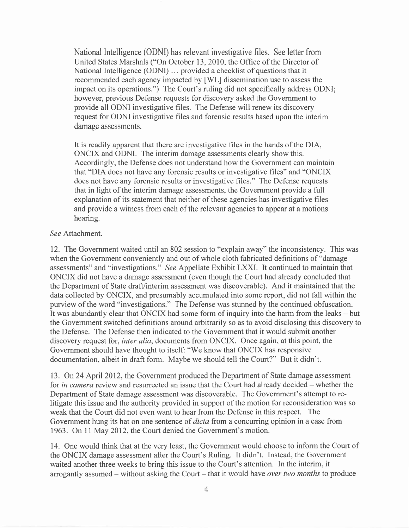National Intelligence (ODNI) has relevant investigative files. See letter from United States Marshals ("On October 13, 2010, the Office of the Director of National Intelligence (ODNI) ... provided a checklist of questions that it recommended each agency impacted by [WL] dissemination use to assess the impact on its operations.") The Court's ruling did not specifically address ODNI; however, previous Defense requests for discovery asked the Government to provide all ODNI investigative files. The Defense will renew its discovery request for ODNI investigative files and forensic results based upon the interim damage assessments.

It is readily apparent that there are investigative files in the hands of the DIA, ONCIX and ODNI. The interim damage assessments clearly show this. Accordingly, the Defense does not understand how the Government can maintain that "DIA does not have any forensic results or investigative files" and "ONCIX does not have any forensic results or investigative files." The Defense requests that in light of the interim damage assessments, the Government provide a full explanation of its statement that neither of these agencies has investigative files and provide a witness from each of the relevant agencies to appear at a motions hearing.

#### See Attachment.

12. The Government waited until an 802 session to "explain away" the inconsistency. This was when the Government conveniently and out of whole cloth fabricated definitions of "damage assessments" and "investigations." See Appellate Exhibit LXXI. It continued to maintain that ONCIX did not have a damage assessment (even though the Court had already concluded that the Department of State draft/interim assessment was discoverable). And it maintained that the data collected by ONCIX, and presumably accumulated into some report, did not fall within the purview of the word "investigations." The Defense was stunned by the continued obfuscation. It was abundantly clear that ONCIX had some form of inquiry into the harm from the leaks – but the Government switched definitions around arbitrarily so as to avoid disclosing this discovery to the Defense. The Defense then indicated to the Government that it would submit another discovery request for, *inter alia*, documents from ONCIX. Once again, at this point, the Government should have thought to itself: "We know that ONCIX has responsive documentation, albeit in draft form. Maybe we should tell the Court?" But it didn't.

13. On24 April 2012, the Government produced the Department of State damage assessment for in camera review and resurrected an issue that the Court had already decided – whether the Department of State damage assessment was discoverable. The Government's attempt to relitigate this issue and the authority provided in support of the motion for reconsideration was so weak that the Court did not even want to hear from the Defense in this respect. The Government hung its hat on one sentence of *dicta* from a concurring opinion in a case from 1963. On 11 May 2012, the Court denied the Government's motion.

14. One would think that at the very least, the Government would choose to inform the Court of the ONCIX damage assessment after the Court's Ruling. It didn't. Instead, the Government waited another three weeks to bring this issue to the Court's attention. In the interim, it arrogantly assumed – without asking the Court – that it would have *over two months* to produce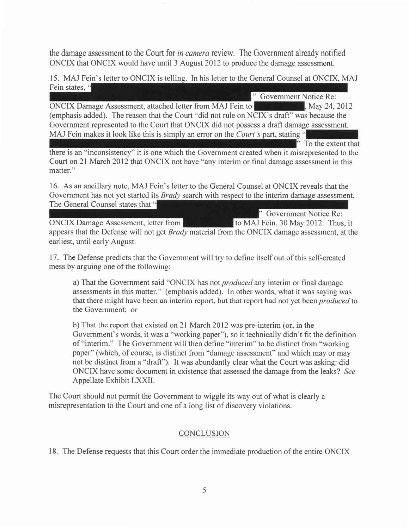the damage assessment to the Court for in camera review. The Government already notified ONCIX that ONCIX would have until 3 August2012 to produce the damage assessment.

15. MAJ Fein's letter to ONCIX is telling. In his letter to the General Counsel at ONCIX, MAJ Fein states, "

)) Government Notice Re: ONCIX Damage Assessment, attached letter from MAJ Fein to **May 24, 2012**, May 24, 2012 (emphasis added). The reason that the Court "did not rule on NCIX's draft" was because the Government represented to the Court that ONCIX did not possess a draft damage assessment. MAJ Fein makes it look like this is simply an error on the *Court's* part, stating " To the extent that

there is an "inconsistency" it is one which the Government created when it misrepresented to the Court on21 March 2012 that ONCIX not have "any interim or final damage assessment in this matter."

16. As an ancillary note. MAJ Fein's letter to the General Counsel at ONCIX reveals that the Government has not yet started its *Brady* search with respect to the interim damage assessment. The General Counsel states that "

Government Notice Re: ONCIX Damage Assessment, letter from the state of to MAJ Fein, 30 May 2012. Thus, it appears that the Defense will not get *Brady* material from the ONCIX damage assessment, at the earliest, until early August.

17. The Defense predicts that the Government will try to define itself out of this self-created mess by arguing one of the following:

a) That the Government said "ONCIX has not *produced* any interim or final damage assessments in this matter." (emphasis added). In other words, what it was saying was that there might have been an interim report, but that report had not yet been *produced* to the Government; or

b) That the report that existed on 2l March 2012 was pre-interim (or, in the Government's words, it was a "working paper"), so it technically didn't fit the definition of "interim." The Government will then define "interim" to be distinct from "working paper" (which, of course, is distinct from "damage assessment" and which may or may not be distinct from a"draft"). It was abundantly clear what the Court was asking: did ONCIX have some document in existence that assessed the damage from the leaks? See Appellate Exhibit LXXII.

The Court should not permit the Government to wiggle its way out of what is clearly a misrepresentation to the Court and one of a long list of discovery violations.

## **CONCLUSION**

<sup>1</sup>8. The Defense requests that this Court order the immediate production of the entire ONCIX